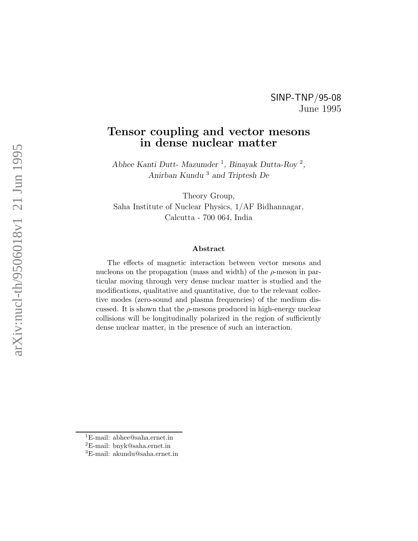## SINP-TNP/95-08 June 1995

# Tensor coupling and vector mesons in dense nuclear matter

Abhee Kanti Dutt- Mazumder<sup>1</sup>, Binayak Dutta-Roy<sup>2</sup>, Anirban Kundu <sup>3</sup> and Triptesh De

Theory Group, Saha Institute of Nuclear Physics, 1/AF Bidhannagar, Calcutta - 700 064, India

#### Abstract

The effects of magnetic interaction between vector mesons and nucleons on the propagation (mass and width) of the  $\rho$ -meson in particular moving through very dense nuclear matter is studied and the modifications, qualitative and quantitative, due to the relevant collective modes (zero-sound and plasma frequencies) of the medium discussed. It is shown that the  $\rho$ -mesons produced in high-energy nuclear collisions will be longitudinally polarized in the region of sufficiently dense nuclear matter, in the presence of such an interaction.

<sup>1</sup>E-mail: abhee@saha.ernet.in

 ${}^{2}E$ -mail: bnyk@saha.ernet.in

<sup>3</sup>E-mail: akundu@saha.ernet.in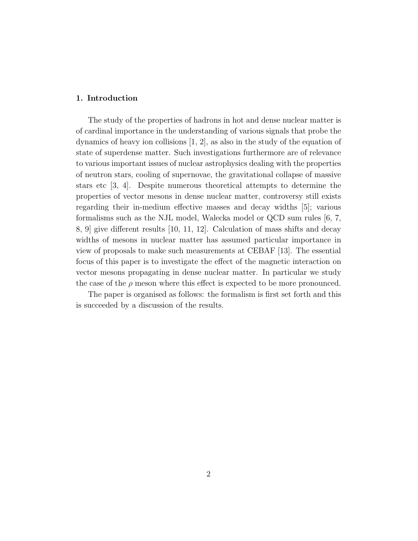#### 1. Introduction

The study of the properties of hadrons in hot and dense nuclear matter is of cardinal importance in the understanding of various signals that probe the dynamics of heavy ion collisions [1, 2], as also in the study of the equation of state of superdense matter. Such investigations furthermore are of relevance to various important issues of nuclear astrophysics dealing with the properties of neutron stars, cooling of supernovae, the gravitational collapse of massive stars etc [3, 4]. Despite numerous theoretical attempts to determine the properties of vector mesons in dense nuclear matter, controversy still exists regarding their in-medium effective masses and decay widths [5]; various formalisms such as the NJL model, Walecka model or QCD sum rules [6, 7, 8, 9] give different results [10, 11, 12]. Calculation of mass shifts and decay widths of mesons in nuclear matter has assumed particular importance in view of proposals to make such measurements at CEBAF [13]. The essential focus of this paper is to investigate the effect of the magnetic interaction on vector mesons propagating in dense nuclear matter. In particular we study the case of the  $\rho$  meson where this effect is expected to be more pronounced.

The paper is organised as follows: the formalism is first set forth and this is succeeded by a discussion of the results.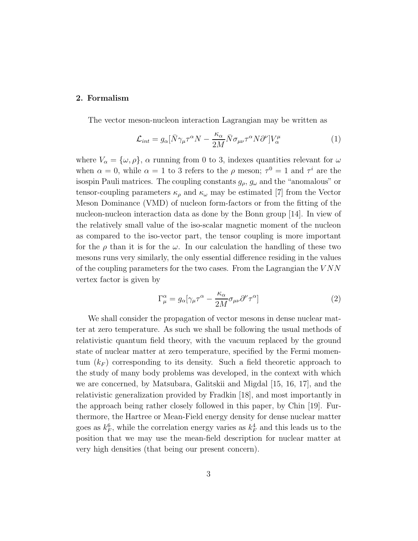#### 2. Formalism

The vector meson-nucleon interaction Lagrangian may be written as

$$
\mathcal{L}_{int} = g_{\alpha} [\bar{N}\gamma_{\mu}\tau^{\alpha}N - \frac{\kappa_{\alpha}}{2M}\bar{N}\sigma_{\mu\nu}\tau^{\alpha}N\partial^{\nu}]V_{\alpha}^{\mu}
$$
(1)

where  $V_{\alpha} = {\{\omega, \rho\}}$ ,  $\alpha$  running from 0 to 3, indexes quantities relevant for  $\omega$ when  $\alpha = 0$ , while  $\alpha = 1$  to 3 refers to the  $\rho$  meson;  $\tau^0 = 1$  and  $\tau^i$  are the isospin Pauli matrices. The coupling constants  $g_{\rho}$ ,  $g_{\omega}$  and the "anomalous" or tensor-coupling parameters  $\kappa_{\rho}$  and  $\kappa_{\omega}$  may be estimated [7] from the Vector Meson Dominance (VMD) of nucleon form-factors or from the fitting of the nucleon-nucleon interaction data as done by the Bonn group [14]. In view of the relatively small value of the iso-scalar magnetic moment of the nucleon as compared to the iso-vector part, the tensor coupling is more important for the  $\rho$  than it is for the  $\omega$ . In our calculation the handling of these two mesons runs very similarly, the only essential difference residing in the values of the coupling parameters for the two cases. From the Lagrangian the  $VNN$ vertex factor is given by

$$
\Gamma^{\alpha}_{\mu} = g_{\alpha} [\gamma_{\mu} \tau^{\alpha} - \frac{\kappa_{\alpha}}{2M} \sigma_{\mu\nu} \partial^{\nu} \tau^{\alpha}] \tag{2}
$$

We shall consider the propagation of vector mesons in dense nuclear matter at zero temperature. As such we shall be following the usual methods of relativistic quantum field theory, with the vacuum replaced by the ground state of nuclear matter at zero temperature, specified by the Fermi momentum  $(k_F)$  corresponding to its density. Such a field theoretic approach to the study of many body problems was developed, in the context with which we are concerned, by Matsubara, Galitskii and Migdal [15, 16, 17], and the relativistic generalization provided by Fradkin [18], and most importantly in the approach being rather closely followed in this paper, by Chin [19]. Furthermore, the Hartree or Mean-Field energy density for dense nuclear matter goes as  $k_F^6$  $_{F}^{6}$ , while the correlation energy varies as  $k_{F}^{4}$  and this leads us to the position that we may use the mean-field description for nuclear matter at very high densities (that being our present concern).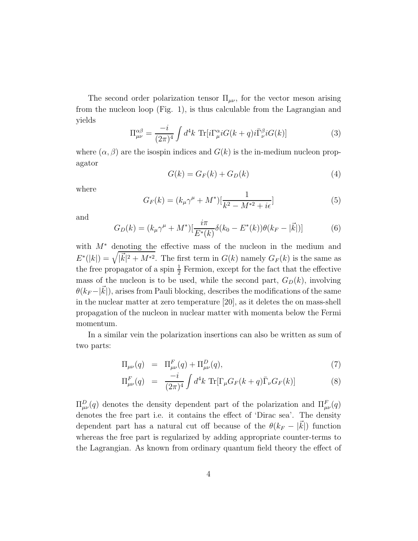The second order polarization tensor  $\Pi_{\mu\nu}$ , for the vector meson arising from the nucleon loop (Fig. 1), is thus calculable from the Lagrangian and yields

$$
\Pi_{\mu\nu}^{\alpha\beta} = \frac{-i}{(2\pi)^4} \int d^4k \ \text{Tr}[i\Gamma_{\mu}^{\alpha} i G(k+q)i\bar{\Gamma}_{\nu}^{\beta} i G(k)] \tag{3}
$$

where  $(\alpha, \beta)$  are the isospin indices and  $G(k)$  is the in-medium nucleon propagator

$$
G(k) = G_F(k) + G_D(k)
$$
\n<sup>(4)</sup>

where

$$
G_F(k) = (k_{\mu}\gamma^{\mu} + M^*)\left[\frac{1}{k^2 - M^{*2} + i\epsilon}\right]
$$
\n(5)

and

$$
G_D(k) = (k_{\mu}\gamma^{\mu} + M^*)\left[\frac{i\pi}{E^*(k)}\delta(k_0 - E^*(k))\theta(k_F - |\vec{k}|)\right]
$$
(6)

with M<sup>∗</sup> denoting the effective mass of the nucleon in the medium and  $E^*(|k|) = \sqrt{|\vec{k}|^2 + M^{*2}}$ . The first term in  $G(k)$  namely  $G_F(k)$  is the same as the free propagator of a spin  $\frac{1}{2}$  Fermion, except for the fact that the effective mass of the nucleon is to be used, while the second part,  $G_D(k)$ , involving  $\theta(k_F - |k|)$ , arises from Pauli blocking, describes the modifications of the same in the nuclear matter at zero temperature [20], as it deletes the on mass-shell propagation of the nucleon in nuclear matter with momenta below the Fermi momentum.

In a similar vein the polarization insertions can also be written as sum of two parts:

$$
\Pi_{\mu\nu}(q) = \Pi_{\mu\nu}^F(q) + \Pi_{\mu\nu}^D(q),\tag{7}
$$

$$
\Pi_{\mu\nu}^F(q) = \frac{-i}{(2\pi)^4} \int d^4k \ \text{Tr}[\Gamma_{\mu} G_F(k+q) \bar{\Gamma}_{\nu} G_F(k)] \tag{8}
$$

 $\Pi_{\mu\nu}^D(q)$  denotes the density dependent part of the polarization and  $\Pi_{\mu\nu}^F(q)$ denotes the free part i.e. it contains the effect of 'Dirac sea'. The density dependent part has a natural cut off because of the  $\theta(k_F - |k|)$  function whereas the free part is regularized by adding appropriate counter-terms to the Lagrangian. As known from ordinary quantum field theory the effect of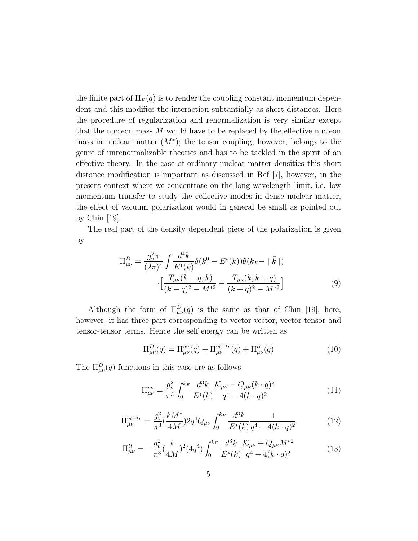the finite part of  $\Pi_F(q)$  is to render the coupling constant momentum dependent and this modifies the interaction subtantially as short distances. Here the procedure of regularization and renormalization is very similar except that the nucleon mass  $M$  would have to be replaced by the effective nucleon mass in nuclear matter  $(M^*)$ ; the tensor coupling, however, belongs to the genre of unrenormalizable theories and has to be tackled in the spirit of an effective theory. In the case of ordinary nuclear matter densities this short distance modification is important as discussed in Ref [7], however, in the present context where we concentrate on the long wavelength limit, i.e. low momentum transfer to study the collective modes in dense nuclear matter, the effect of vacuum polarization would in general be small as pointed out by Chin [19].

The real part of the density dependent piece of the polarization is given by

$$
\Pi_{\mu\nu}^{D} = \frac{g_v^2 \pi}{(2\pi)^4} \int \frac{d^4k}{E^*(k)} \delta(k^0 - E^*(k)) \theta(k_F - |\vec{k}|)
$$

$$
\cdot \left[ \frac{T_{\mu\nu}(k-q, k)}{(k-q)^2 - M^{*2}} + \frac{T_{\mu\nu}(k, k+q)}{(k+q)^2 - M^{*2}} \right] \tag{9}
$$

Although the form of  $\Pi_{\mu\nu}^D(q)$  is the same as that of Chin [19], here, however, it has three part corresponding to vector-vector, vector-tensor and tensor-tensor terms. Hence the self energy can be written as

$$
\Pi_{\mu\nu}^D(q) = \Pi_{\mu\nu}^{vv}(q) + \Pi_{\mu\nu}^{vt+tv}(q) + \Pi_{\mu\nu}^{tt}(q)
$$
\n(10)

The  $\Pi_{\mu\nu}^D(q)$  functions in this case are as follows

$$
\Pi_{\mu\nu}^{vv} = \frac{g_v^2}{\pi^3} \int_0^{k_F} \frac{d^3k}{E^*(k)} \frac{\mathcal{K}_{\mu\nu} - Q_{\mu\nu}(k \cdot q)^2}{q^4 - 4(k \cdot q)^2}
$$
(11)

$$
\Pi_{\mu\nu}^{vt+tv} = \frac{g_v^2}{\pi^3} \left(\frac{kM^*}{4M}\right) 2q^4 Q_{\mu\nu} \int_0^{k_F} \frac{d^3k}{E^*(k)} \frac{1}{q^4 - 4(k \cdot q)^2} \tag{12}
$$

$$
\Pi^{tt}_{\mu\nu} = -\frac{g_v^2}{\pi^3} \left(\frac{k}{4M}\right)^2 (4q^4) \int_0^{k_F} \frac{d^3k}{E^*(k)} \frac{\mathcal{K}_{\mu\nu} + Q_{\mu\nu} M^{*2}}{q^4 - 4(k \cdot q)^2}
$$
(13)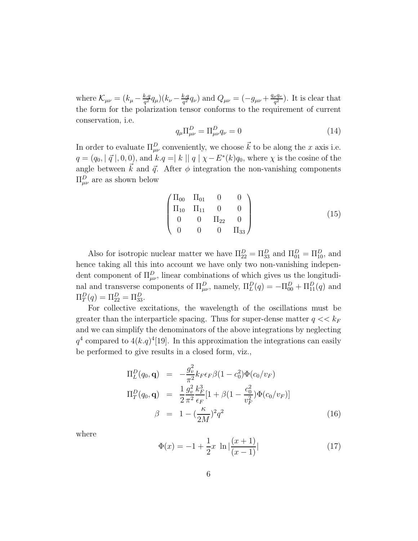where  $\mathcal{K}_{\mu\nu} = (k_{\mu} - \frac{k.q}{a^2})$  $\frac{k.q}{q^2}q_\mu)(k_\nu-\frac{k.q}{q^2})$  $\frac{d^2k}{q^2}q_\nu$ ) and  $Q_{\mu\nu} = (-g_{\mu\nu} + \frac{q_\mu q_\nu}{q^2})$  $\frac{\mu q_{\nu}}{q^2}$ ). It is clear that the form for the polarization tensor conforms to the requirement of current conservation, i.e.

$$
q_{\mu}\Pi^{D}_{\mu\nu} = \Pi^{D}_{\mu\nu}q_{\nu} = 0 \tag{14}
$$

In order to evaluate  $\Pi_{\mu\nu}^D$  conveniently, we choose  $\vec{k}$  to be along the x axis i.e.  $q = (q_0, |\vec{q}|, 0, 0)$ , and  $k.q = |k||q| \chi - E^*(k)q_0$ , where  $\chi$  is the cosine of the angle between  $\vec{k}$  and  $\vec{q}$ . After  $\phi$  integration the non-vanishing components  $\Pi_{\mu\nu}^D$  are as shown below

$$
\begin{pmatrix}\n\Pi_{00} & \Pi_{01} & 0 & 0 \\
\Pi_{10} & \Pi_{11} & 0 & 0 \\
0 & 0 & \Pi_{22} & 0 \\
0 & 0 & 0 & \Pi_{33}\n\end{pmatrix}
$$
\n(15)

Also for isotropic nuclear matter we have  $\Pi_{22}^D = \Pi_{33}^D$  and  $\Pi_{01}^D = \Pi_{10}^D$ , and hence taking all this into account we have only two non-vanishing independent component of  $\Pi_{\mu\nu}^D$ , linear combinations of which gives us the longitudinal and transverse components of  $\Pi_{\mu\nu}^D$ , namely,  $\Pi_L^D(q) = -\Pi_{00}^D + \Pi_{11}^D(q)$  and  $\Pi_T^D(q) = \Pi_{22}^D = \Pi_{33}^D.$ 

For collective excitations, the wavelength of the oscillations must be greater than the interparticle spacing. Thus for super-dense matter  $q \ll k_F$ and we can simplify the denominators of the above integrations by neglecting  $q^4$  compared to  $4(k \cdot q)^4$ [19]. In this approximation the integrations can easily be performed to give results in a closed form, viz.,

$$
\Pi_L^D(q_0, \mathbf{q}) = -\frac{g_v^2}{\pi^2} k_F \epsilon_F \beta (1 - c_0^2) \Phi(c_0/v_F)
$$
\n
$$
\Pi_T^D(q_0, \mathbf{q}) = \frac{1}{2} \frac{g_v^2}{\pi^2} \frac{k_F^3}{\epsilon_F} [1 + \beta (1 - \frac{c_0^2}{v_F^2}) \Phi(c_0/v_F)]
$$
\n
$$
\beta = 1 - (\frac{\kappa}{2M})^2 q^2
$$
\n(16)

where

$$
\Phi(x) = -1 + \frac{1}{2}x \ln \left| \frac{(x+1)}{(x-1)} \right| \tag{17}
$$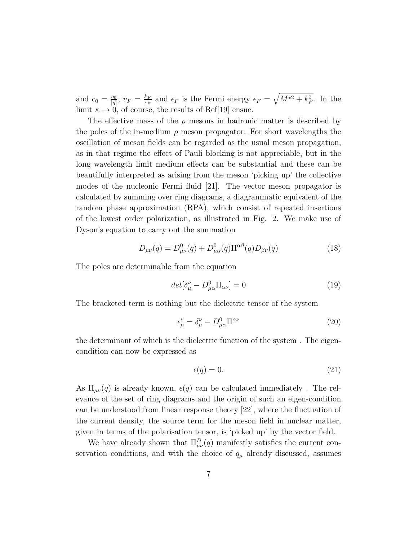and  $c_0 = \frac{q_0}{\vert \vec{a} \vert}$  $\frac{q_0}{|\vec{q}|},~v_F=\frac{k_F}{\epsilon_F}$  $\frac{k_F}{\epsilon_F}$  and  $\epsilon_F$  is the Fermi energy  $\epsilon_F = \sqrt{M^{*2} + k_F^2}$ . In the limit  $\kappa \to 0$ , of course, the results of Ref[19] ensue.

The effective mass of the  $\rho$  mesons in hadronic matter is described by the poles of the in-medium  $\rho$  meson propagator. For short wavelengths the oscillation of meson fields can be regarded as the usual meson propagation, as in that regime the effect of Pauli blocking is not appreciable, but in the long wavelength limit medium effects can be substantial and these can be beautifully interpreted as arising from the meson 'picking up' the collective modes of the nucleonic Fermi fluid [21]. The vector meson propagator is calculated by summing over ring diagrams, a diagrammatic equivalent of the random phase approximation (RPA), which consist of repeated insertions of the lowest order polarization, as illustrated in Fig. 2. We make use of Dyson's equation to carry out the summation

$$
D_{\mu\nu}(q) = D^0_{\mu\nu}(q) + D^0_{\mu\alpha}(q) \Pi^{\alpha\beta}(q) D_{\beta\nu}(q)
$$
 (18)

The poles are determinable from the equation

$$
det[\delta^{\nu}_{\mu} - D^{0}_{\mu\alpha} \Pi_{\alpha\nu}] = 0 \tag{19}
$$

The bracketed term is nothing but the dielectric tensor of the system

$$
\epsilon^{\nu}_{\mu} = \delta^{\nu}_{\mu} - D^{0}_{\mu\alpha} \Pi^{\alpha\nu} \tag{20}
$$

the determinant of which is the dielectric function of the system . The eigencondition can now be expressed as

$$
\epsilon(q) = 0.\tag{21}
$$

As  $\Pi_{\mu\nu}(q)$  is already known,  $\epsilon(q)$  can be calculated immediately. The relevance of the set of ring diagrams and the origin of such an eigen-condition can be understood from linear response theory [22], where the fluctuation of the current density, the source term for the meson field in nuclear matter, given in terms of the polarisation tensor, is 'picked up' by the vector field.

We have already shown that  $\Pi_{\mu\nu}^D(q)$  manifestly satisfies the current conservation conditions, and with the choice of  $q_{\mu}$  already discussed, assumes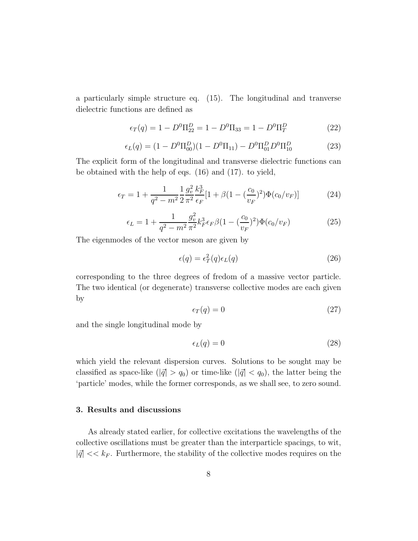a particularly simple structure eq. (15). The longitudinal and tranverse dielectric functions are defined as

$$
\epsilon_T(q) = 1 - D^0 \Pi_{22}^D = 1 - D^0 \Pi_{33} = 1 - D^0 \Pi_T^D \tag{22}
$$

$$
\epsilon_L(q) = (1 - D^0 \Pi_{00}^D)(1 - D^0 \Pi_{11}) - D^0 \Pi_{01}^D D^0 \Pi_{10}^D \tag{23}
$$

The explicit form of the longitudinal and transverse dielectric functions can be obtained with the help of eqs. (16) and (17). to yield,

$$
\epsilon_T = 1 + \frac{1}{q^2 - m^2} \frac{1}{2} \frac{g_v^2}{\pi^2} \frac{k_F^3}{\epsilon_F} [1 + \beta (1 - (\frac{c_0}{v_F})^2) \Phi(c_0/v_F)] \tag{24}
$$

$$
\epsilon_L = 1 + \frac{1}{q^2 - m^2} \frac{g_v^2}{\pi^2} k_F^3 \epsilon_F \beta (1 - (\frac{c_0}{v_F})^2) \Phi(c_0/v_F)
$$
 (25)

The eigenmodes of the vector meson are given by

$$
\epsilon(q) = \epsilon_T^2(q)\epsilon_L(q) \tag{26}
$$

corresponding to the three degrees of fredom of a massive vector particle. The two identical (or degenerate) transverse collective modes are each given by

$$
\epsilon_T(q) = 0 \tag{27}
$$

and the single longitudinal mode by

$$
\epsilon_L(q) = 0 \tag{28}
$$

which yield the relevant dispersion curves. Solutions to be sought may be classified as space-like ( $|\vec{q}| > q_0$ ) or time-like ( $|\vec{q}| < q_0$ ), the latter being the 'particle' modes, while the former corresponds, as we shall see, to zero sound.

#### 3. Results and discussions

As already stated earlier, for collective excitations the wavelengths of the collective oscillations must be greater than the interparticle spacings, to wit,  $|\vec{q}| \ll k_F$ . Furthermore, the stability of the collective modes requires on the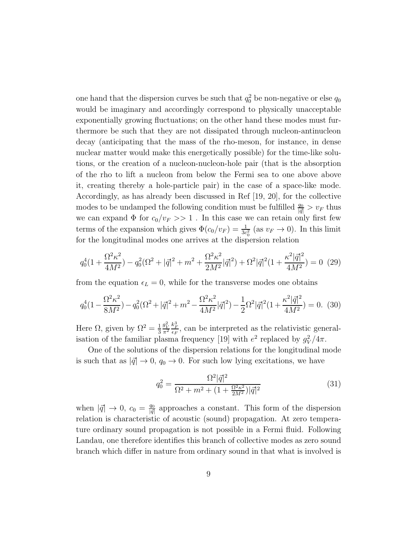one hand that the dispersion curves be such that  $q_0^2$  be non-negative or else  $q_0$ would be imaginary and accordingly correspond to physically unacceptable exponentially growing fluctuations; on the other hand these modes must furthermore be such that they are not dissipated through nucleon-antinucleon decay (anticipating that the mass of the rho-meson, for instance, in dense nuclear matter would make this energetically possible) for the time-like solutions, or the creation of a nucleon-nucleon-hole pair (that is the absorption of the rho to lift a nucleon from below the Fermi sea to one above above it, creating thereby a hole-particle pair) in the case of a space-like mode. Accordingly, as has already been discussed in Ref [19, 20], for the collective modes to be undamped the following condition must be fulfilled  $\frac{q_0}{|\vec{q}|} > v_F$  thus we can expand  $\Phi$  for  $c_0/v_F >> 1$ . In this case we can retain only first few terms of the expansion which gives  $\Phi(c_0/v_F) = \frac{1}{3c_0^2}$  (as  $v_F \to 0$ ). In this limit for the longitudinal modes one arrives at the dispersion relation

$$
q_0^4(1+\frac{\Omega^2\kappa^2}{4M^2}) - q_0^2(\Omega^2 + |\vec{q}|^2 + m^2 + \frac{\Omega^2\kappa^2}{2M^2}|\vec{q}|^2) + \Omega^2|\vec{q}|^2(1+\frac{\kappa^2|\vec{q}|^2}{4M^2}) = 0
$$
 (29)

from the equation  $\epsilon_L = 0$ , while for the transverse modes one obtains

$$
q_0^4(1 - \frac{\Omega^2 \kappa^2}{8M^2}) - q_0^2(\Omega^2 + |\vec{q}|^2 + m^2 - \frac{\Omega^2 \kappa^2}{4M^2} |\vec{q}|^2) - \frac{1}{2}\Omega^2 |\vec{q}|^2(1 + \frac{\kappa^2 |\vec{q}|^2}{4M^2}) = 0.
$$
 (30)

Here  $\Omega$ , given by  $\Omega^2 = \frac{1}{3}$ 3  $\frac{g_V^2}{\pi^2}$  $\frac{k_F^3}{\epsilon_F}$ , can be interpreted as the relativistic generalisation of the familiar plasma frequency [19] with  $e^2$  replaced by  $g_V^2$  $\frac{2}{V}/4π$ .

One of the solutions of the dispersion relations for the longitudinal mode is such that as  $|\vec{q}| \rightarrow 0$ ,  $q_0 \rightarrow 0$ . For such low lying excitations, we have

$$
q_0^2 = \frac{\Omega^2 |\vec{q}|^2}{\Omega^2 + m^2 + (1 + \frac{\Omega^2 \kappa^2}{2M^2}) |\vec{q}|^2}
$$
(31)

when  $|\vec{q}| \to 0$ ,  $c_0 = \frac{q_0}{|\vec{q}|}$  $\frac{q_0}{|\vec{q}|}$  approaches a constant. This form of the dispersion relation is characteristic of acoustic (sound) propagation. At zero temperature ordinary sound propagation is not possible in a Fermi fluid. Following Landau, one therefore identifies this branch of collective modes as zero sound branch which differ in nature from ordinary sound in that what is involved is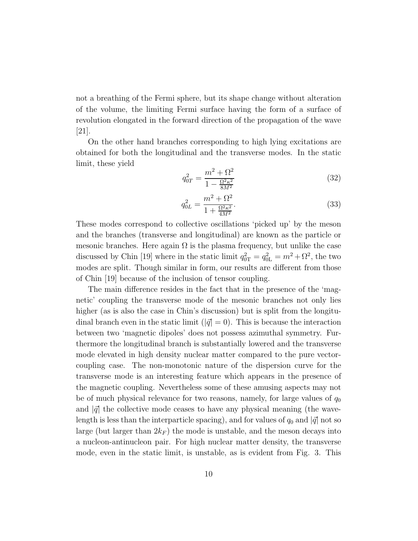not a breathing of the Fermi sphere, but its shape change without alteration of the volume, the limiting Fermi surface having the form of a surface of revolution elongated in the forward direction of the propagation of the wave [21].

On the other hand branches corresponding to high lying excitations are obtained for both the longitudinal and the transverse modes. In the static limit, these yield

$$
q_{0T}^2 = \frac{m^2 + \Omega^2}{1 - \frac{\Omega^2 \kappa^2}{8M^2}}
$$
 (32)

$$
q_{0L}^2 = \frac{m^2 + \Omega^2}{1 + \frac{\Omega^2 \kappa^2}{4M^2}}.\tag{33}
$$

These modes correspond to collective oscillations 'picked up' by the meson and the branches (transverse and longitudinal) are known as the particle or mesonic branches. Here again  $\Omega$  is the plasma frequency, but unlike the case discussed by Chin [19] where in the static limit  $q_{0T}^2 = q_{0L}^2 = m^2 + \Omega^2$ , the two modes are split. Though similar in form, our results are different from those of Chin [19] because of the inclusion of tensor coupling.

The main difference resides in the fact that in the presence of the 'magnetic' coupling the transverse mode of the mesonic branches not only lies higher (as is also the case in Chin's discussion) but is split from the longitudinal branch even in the static limit ( $|\vec{q}| = 0$ ). This is because the interaction between two 'magnetic dipoles' does not possess azimuthal symmetry. Furthermore the longitudinal branch is substantially lowered and the transverse mode elevated in high density nuclear matter compared to the pure vectorcoupling case. The non-monotonic nature of the dispersion curve for the transverse mode is an interesting feature which appears in the presence of the magnetic coupling. Nevertheless some of these amusing aspects may not be of much physical relevance for two reasons, namely, for large values of  $q_0$ and  $|\vec{q}|$  the collective mode ceases to have any physical meaning (the wavelength is less than the interparticle spacing), and for values of  $q_0$  and  $|\vec{q}|$  not so large (but larger than  $2k_F$ ) the mode is unstable, and the meson decays into a nucleon-antinucleon pair. For high nuclear matter density, the transverse mode, even in the static limit, is unstable, as is evident from Fig. 3. This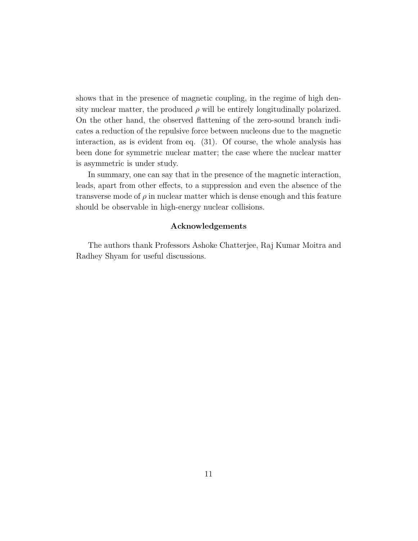shows that in the presence of magnetic coupling, in the regime of high density nuclear matter, the produced  $\rho$  will be entirely longitudinally polarized. On the other hand, the observed flattening of the zero-sound branch indicates a reduction of the repulsive force between nucleons due to the magnetic interaction, as is evident from eq. (31). Of course, the whole analysis has been done for symmetric nuclear matter; the case where the nuclear matter is asymmetric is under study.

In summary, one can say that in the presence of the magnetic interaction, leads, apart from other effects, to a suppression and even the absence of the transverse mode of  $\rho$  in nuclear matter which is dense enough and this feature should be observable in high-energy nuclear collisions.

#### Acknowledgements

The authors thank Professors Ashoke Chatterjee, Raj Kumar Moitra and Radhey Shyam for useful discussions.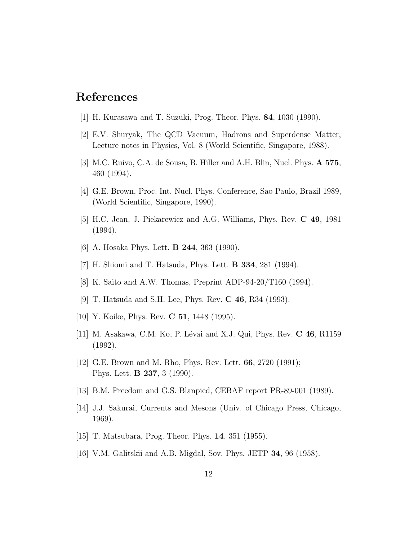# References

- [1] H. Kurasawa and T. Suzuki, Prog. Theor. Phys. 84, 1030 (1990).
- [2] E.V. Shuryak, The QCD Vacuum, Hadrons and Superdense Matter, Lecture notes in Physics, Vol. 8 (World Scientific, Singapore, 1988).
- [3] M.C. Ruivo, C.A. de Sousa, B. Hiller and A.H. Blin, Nucl. Phys. A 575, 460 (1994).
- [4] G.E. Brown, Proc. Int. Nucl. Phys. Conference, Sao Paulo, Brazil 1989, (World Scientific, Singapore, 1990).
- [5] H.C. Jean, J. Piekarewicz and A.G. Williams, Phys. Rev. C 49, 1981 (1994).
- [6] A. Hosaka Phys. Lett. B 244, 363 (1990).
- [7] H. Shiomi and T. Hatsuda, Phys. Lett. B 334, 281 (1994).
- [8] K. Saito and A.W. Thomas, Preprint ADP-94-20/T160 (1994).
- [9] T. Hatsuda and S.H. Lee, Phys. Rev. C 46, R34 (1993).
- [10] Y. Koike, Phys. Rev. **C 51**, 1448 (1995).
- [11] M. Asakawa, C.M. Ko, P. Lévai and X.J. Qui, Phys. Rev. C 46, R1159 (1992).
- [12] G.E. Brown and M. Rho, Phys. Rev. Lett. 66, 2720 (1991); Phys. Lett. B 237, 3 (1990).
- [13] B.M. Preedom and G.S. Blanpied, CEBAF report PR-89-001 (1989).
- [14] J.J. Sakurai, Currents and Mesons (Univ. of Chicago Press, Chicago, 1969).
- [15] T. Matsubara, Prog. Theor. Phys. 14, 351 (1955).
- [16] V.M. Galitskii and A.B. Migdal, Sov. Phys. JETP 34, 96 (1958).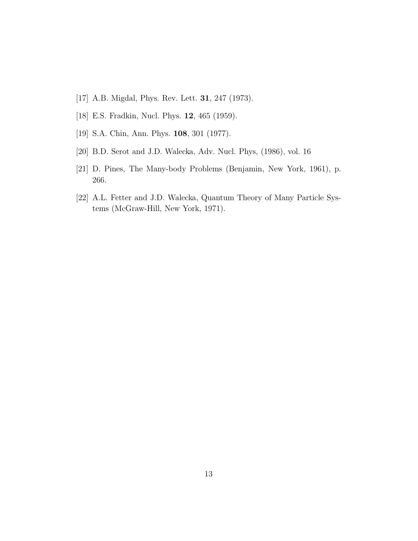- [17] A.B. Migdal, Phys. Rev. Lett. 31, 247 (1973).
- [18] E.S. Fradkin, Nucl. Phys. 12, 465 (1959).
- [19] S.A. Chin, Ann. Phys. 108, 301 (1977).
- [20] B.D. Serot and J.D. Walecka, Adv. Nucl. Phys, (1986), vol. 16
- [21] D. Pines, The Many-body Problems (Benjamin, New York, 1961), p. 266.
- [22] A.L. Fetter and J.D. Walecka, Quantum Theory of Many Particle Systems (McGraw-Hill, New York, 1971).